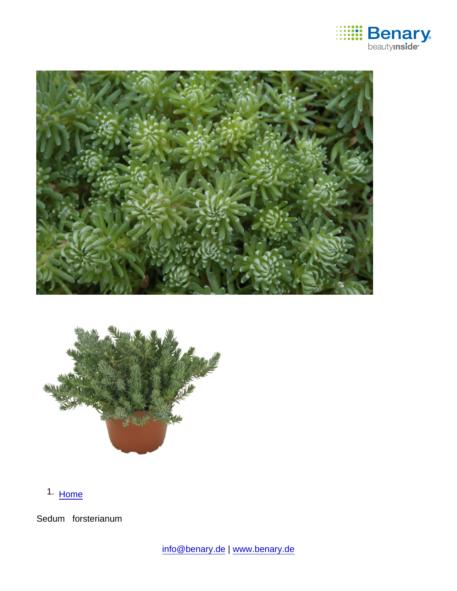

1. [Home](https://www.benary.com/)

Sedum forsterianum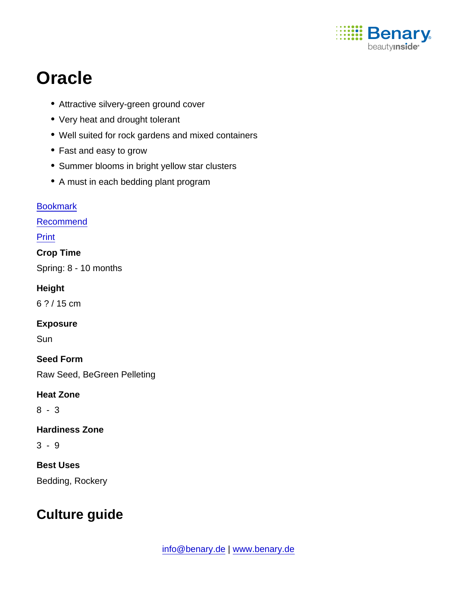

# **Oracle**

- Attractive silvery-green ground cover
- Very heat and drought tolerant
- Well suited for rock gardens and mixed containers
- Fast and easy to grow
- Summer blooms in bright yellow star clusters
- A must in each bedding plant program

**[Bookmark](https://www.benary.com/flag/flag/product/6270?destination&token=pUCiRhRiS3rAuGF9KQXO4LjUVBXTOHQhc4UCqcEzx_Y)** [Recommend](mailto:?subject=Benary Sedum forsterianum &body=https://www.benary.com/print/pdf/node/6270) Print Crop Time Spring: 8 - 10 months **Height** 6 ? / 15 cm Exposure **Sun** Seed Form Raw Seed, BeGreen Pelleting Heat Zone 8 - 3 Hardiness Zone 3 - 9 Best Uses Bedding, Rockery

## Culture guide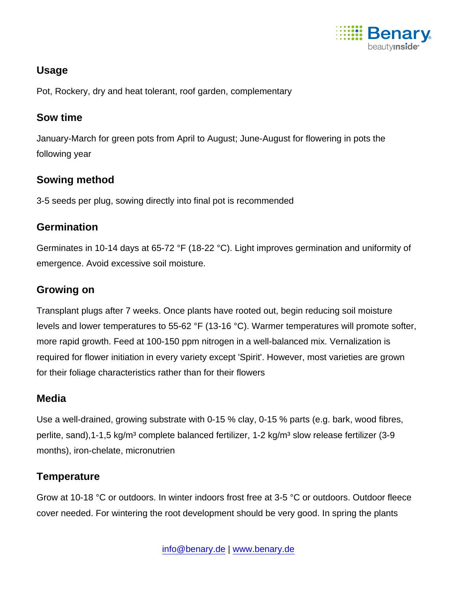

#### Usage

Pot, Rockery, dry and heat tolerant, roof garden, complementary

#### Sow time

January-March for green pots from April to August; June-August for flowering in pots the following year

#### Sowing method

3-5 seeds per plug, sowing directly into final pot is recommended

#### **Germination**

Germinates in 10-14 days at 65-72 °F (18-22 °C). Light improves germination and uniformity of emergence. Avoid excessive soil moisture.

#### Growing on

Transplant plugs after 7 weeks. Once plants have rooted out, begin reducing soil moisture levels and lower temperatures to 55-62 °F (13-16 °C). Warmer temperatures will promote softer, more rapid growth. Feed at 100-150 ppm nitrogen in a well-balanced mix. Vernalization is required for flower initiation in every variety except 'Spirit'. However, most varieties are grown for their foliage characteristics rather than for their flowers

#### **Media**

Use a well-drained, growing substrate with 0-15 % clay, 0-15 % parts (e.g. bark, wood fibres, perlite, sand), 1-1, 5 kg/m<sup>3</sup> complete balanced fertilizer, 1-2 kg/m<sup>3</sup> slow release fertilizer (3-9 months), iron-chelate, micronutrien

### **Temperature**

Grow at 10-18 °C or outdoors. In winter indoors frost free at 3-5 °C or outdoors. Outdoor fleece cover needed. For wintering the root development should be very good. In spring the plants